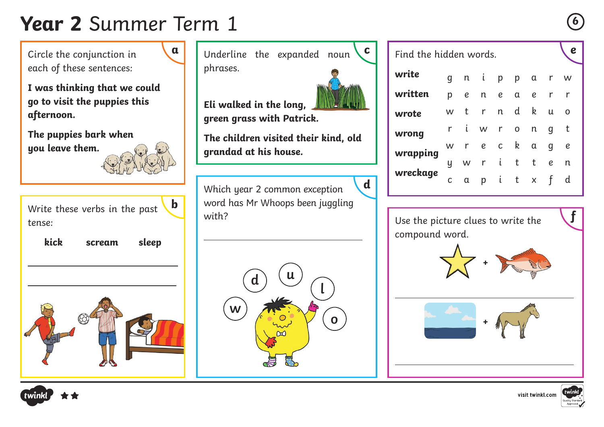## **Year 2** Summer Term 1 **<sup>6</sup>**

Circle the conjunction in each of these sentences:

**I was thinking that we could go to visit the puppies this afternoon.**

**The puppies bark when you leave them.**



Write these verbs in the past tense: **b**

 $\overline{a}$ 

**kick scream sleep**

 $\overline{a}$ 





**Eli walked in the long, green grass with Patrick.**



Which year 2 common exception word has Mr Whoops been juggling with?



| Find the hidden words. |          |           |           |   |           |          |                  | С            |
|------------------------|----------|-----------|-----------|---|-----------|----------|------------------|--------------|
| write                  | q        |           | n i       |   | p p a r w |          |                  |              |
| written                | р        | $\pmb{e}$ | n i       | e | a e       |          | r r              |              |
| wrote                  | <b>W</b> | t.        | r         |   | n d k     |          | $\mathsf{u}$     | O            |
| wrong                  |          |           | r i w r o |   |           | n        | q                | $-t$         |
| wrapping               | W        |           | r e       |   | $c \t k$  | $\alpha$ | q                | $\epsilon$   |
|                        | Ч        |           | w r i t   |   |           | t        | $\boldsymbol{e}$ | $\mathsf{n}$ |
| wreckage               | C        | α         |           |   | p i t x f |          |                  | d            |

Use the picture clues to write the compound word.

 $\overline{a}$ 

**d**

 $\overline{a}$ 







**f**